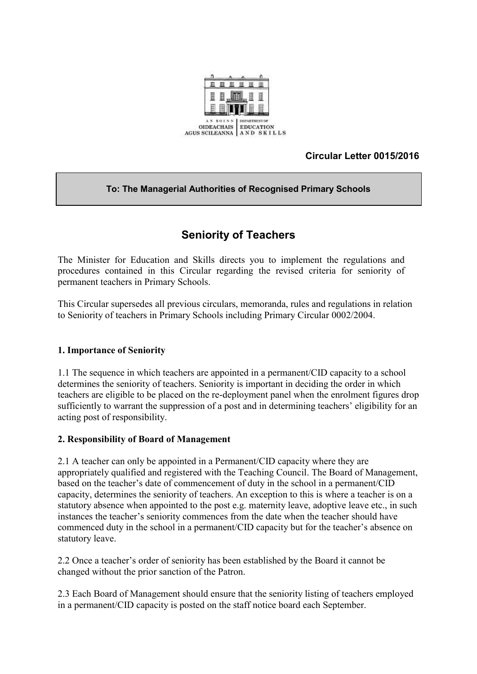

# **Circular Letter 0015/2016**

#### **To: The Managerial Authorities of Recognised Primary Schools**

# **Seniority of Teachers**

The Minister for Education and Skills directs you to implement the regulations and procedures contained in this Circular regarding the revised criteria for seniority of permanent teachers in Primary Schools.

This Circular supersedes all previous circulars, memoranda, rules and regulations in relation to Seniority of teachers in Primary Schools including Primary Circular 0002/2004.

#### **1. Importance of Seniority**

1.1 The sequence in which teachers are appointed in a permanent/CID capacity to a school determines the seniority of teachers. Seniority is important in deciding the order in which teachers are eligible to be placed on the re-deployment panel when the enrolment figures drop sufficiently to warrant the suppression of a post and in determining teachers' eligibility for an acting post of responsibility.

#### **2. Responsibility of Board of Management**

2.1 A teacher can only be appointed in a Permanent/CID capacity where they are appropriately qualified and registered with the Teaching Council. The Board of Management, based on the teacher's date of commencement of duty in the school in a permanent/CID capacity, determines the seniority of teachers. An exception to this is where a teacher is on a statutory absence when appointed to the post e.g. maternity leave, adoptive leave etc., in such instances the teacher's seniority commences from the date when the teacher should have commenced duty in the school in a permanent/CID capacity but for the teacher's absence on statutory leave.

2.2 Once a teacher's order of seniority has been established by the Board it cannot be changed without the prior sanction of the Patron.

2.3 Each Board of Management should ensure that the seniority listing of teachers employed in a permanent/CID capacity is posted on the staff notice board each September.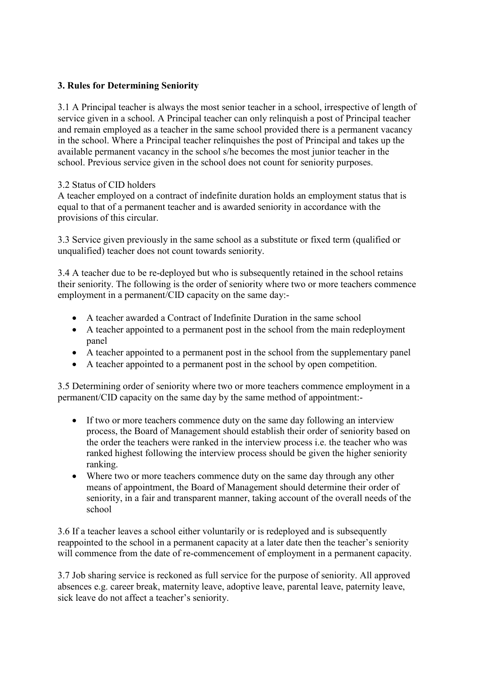#### **3. Rules for Determining Seniority**

3.1 A Principal teacher is always the most senior teacher in a school, irrespective of length of service given in a school. A Principal teacher can only relinquish a post of Principal teacher and remain employed as a teacher in the same school provided there is a permanent vacancy in the school. Where a Principal teacher relinquishes the post of Principal and takes up the available permanent vacancy in the school s/he becomes the most junior teacher in the school. Previous service given in the school does not count for seniority purposes.

## 3.2 Status of CID holders

A teacher employed on a contract of indefinite duration holds an employment status that is equal to that of a permanent teacher and is awarded seniority in accordance with the provisions of this circular.

3.3 Service given previously in the same school as a substitute or fixed term (qualified or unqualified) teacher does not count towards seniority.

3.4 A teacher due to be re-deployed but who is subsequently retained in the school retains their seniority. The following is the order of seniority where two or more teachers commence employment in a permanent/CID capacity on the same day:-

- A teacher awarded a Contract of Indefinite Duration in the same school
- A teacher appointed to a permanent post in the school from the main redeployment panel
- A teacher appointed to a permanent post in the school from the supplementary panel
- A teacher appointed to a permanent post in the school by open competition.

3.5 Determining order of seniority where two or more teachers commence employment in a permanent/CID capacity on the same day by the same method of appointment:-

- If two or more teachers commence duty on the same day following an interview process, the Board of Management should establish their order of seniority based on the order the teachers were ranked in the interview process i.e. the teacher who was ranked highest following the interview process should be given the higher seniority ranking.
- Where two or more teachers commence duty on the same day through any other means of appointment, the Board of Management should determine their order of seniority, in a fair and transparent manner, taking account of the overall needs of the school

3.6 If a teacher leaves a school either voluntarily or is redeployed and is subsequently reappointed to the school in a permanent capacity at a later date then the teacher's seniority will commence from the date of re-commencement of employment in a permanent capacity.

3.7 Job sharing service is reckoned as full service for the purpose of seniority. All approved absences e.g. career break, maternity leave, adoptive leave, parental leave, paternity leave, sick leave do not affect a teacher's seniority.